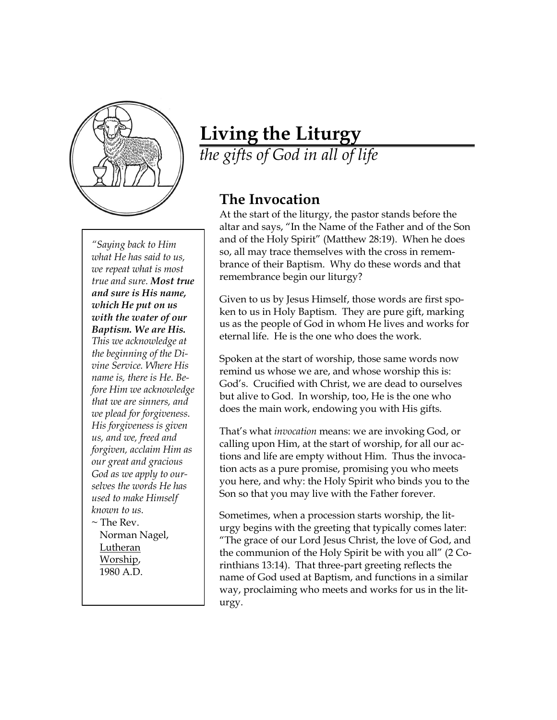

*"Saying back to Him what He has said to us, we repeat what is most true and sure. Most true and sure is His name, which He put on us with the water of our Baptism. We are His. This we acknowledge at the beginning of the Divine Service. Where His name is, there is He. Before Him we acknowledge that we are sinners, and we plead for forgiveness. His forgiveness is given us, and we, freed and forgiven, acclaim Him as our great and gracious God as we apply to ourselves the words He has used to make Himself known to us.*  $\sim$  The Rev.

Norman Nagel, Lutheran Worship, 1980 A.D.

## **Living the Liturgy**

*the gifts of God in all of life*

## **The Invocation**

At the start of the liturgy, the pastor stands before the altar and says, "In the Name of the Father and of the Son and of the Holy Spirit" (Matthew 28:19). When he does so, all may trace themselves with the cross in remembrance of their Baptism. Why do these words and that remembrance begin our liturgy?

Given to us by Jesus Himself, those words are first spoken to us in Holy Baptism. They are pure gift, marking us as the people of God in whom He lives and works for eternal life. He is the one who does the work.

Spoken at the start of worship, those same words now remind us whose we are, and whose worship this is: God's. Crucified with Christ, we are dead to ourselves but alive to God. In worship, too, He is the one who does the main work, endowing you with His gifts.

That's what *invocation* means: we are invoking God, or calling upon Him, at the start of worship, for all our actions and life are empty without Him. Thus the invocation acts as a pure promise, promising you who meets you here, and why: the Holy Spirit who binds you to the Son so that you may live with the Father forever.

Sometimes, when a procession starts worship, the liturgy begins with the greeting that typically comes later: "The grace of our Lord Jesus Christ, the love of God, and the communion of the Holy Spirit be with you all" (2 Corinthians 13:14). That three-part greeting reflects the name of God used at Baptism, and functions in a similar way, proclaiming who meets and works for us in the liturgy.